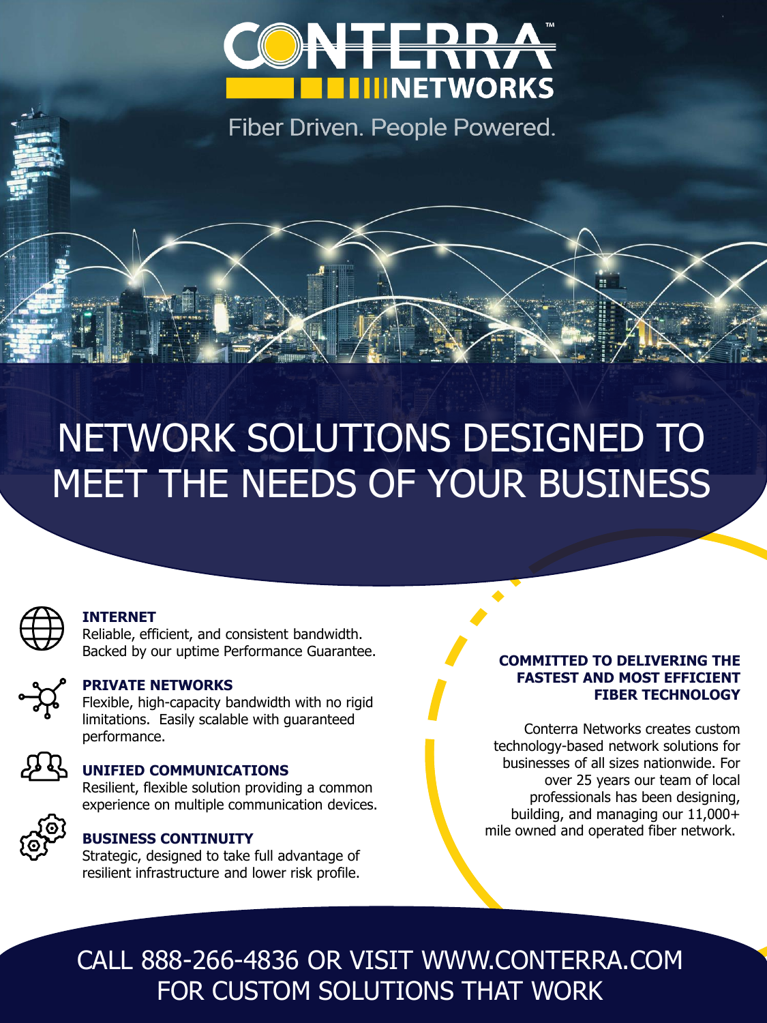

Fiber Driven. People Powered.

# NETWORK SOLUTIONS DESIGNED TO MEET THE NEEDS OF YOUR BUSINESS



#### **INTERNET**

Reliable, efficient, and consistent bandwidth. Backed by our uptime Performance Guarantee.



#### **PRIVATE NETWORKS**

Flexible, high-capacity bandwidth with no rigid limitations. Easily scalable with guaranteed performance.

### **UNIFIED COMMUNICATIONS**

Resilient, flexible solution providing a common experience on multiple communication devices.



#### **BUSINESS CONTINUITY**

Strategic, designed to take full advantage of resilient infrastructure and lower risk profile.

#### **COMMITTED TO DELIVERING THE FASTEST AND MOST EFFICIENT FIBER TECHNOLOGY**

Conterra Networks creates custom technology-based network solutions for businesses of all sizes nationwide. For over 25 years our team of local professionals has been designing, building, and managing our 11,000+ mile owned and operated fiber network.

CALL 888-266-4836 OR VISIT WWW.CONTERRA.COM FOR CUSTOM SOLUTIONS THAT WORK